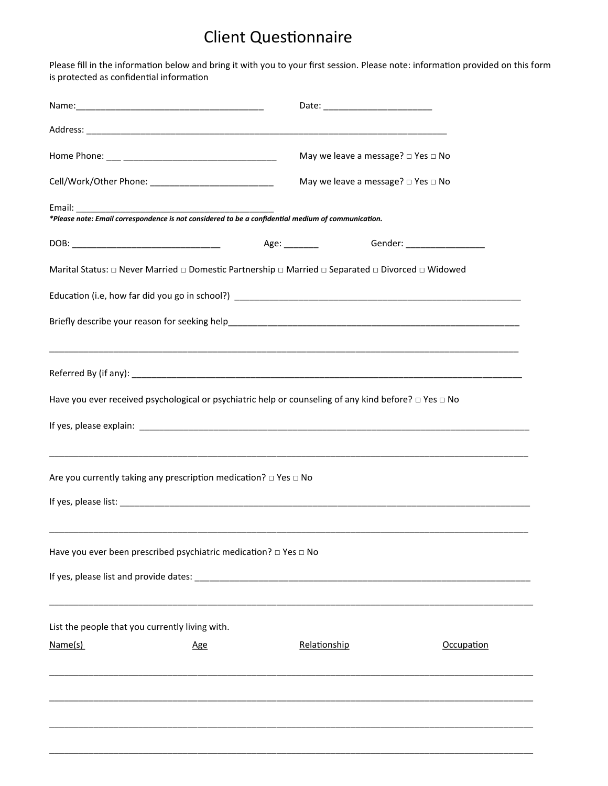## Client Questionnaire

Please fill in the information below and bring it with you to your first session. Please note: information provided on this form is protected as confidential information

|                                                                                                                                                                                                                                      | May we leave a message? $\square$ Yes $\square$ No |                              |  |  |
|--------------------------------------------------------------------------------------------------------------------------------------------------------------------------------------------------------------------------------------|----------------------------------------------------|------------------------------|--|--|
|                                                                                                                                                                                                                                      | May we leave a message? □ Yes □ No                 |                              |  |  |
| *Please note: Email correspondence is not considered to be a confidential medium of communication.                                                                                                                                   |                                                    |                              |  |  |
|                                                                                                                                                                                                                                      |                                                    |                              |  |  |
|                                                                                                                                                                                                                                      | Age: ________                                      | Gender: ____________________ |  |  |
| Marital Status: □ Never Married □ Domestic Partnership □ Married □ Separated □ Divorced □ Widowed                                                                                                                                    |                                                    |                              |  |  |
|                                                                                                                                                                                                                                      |                                                    |                              |  |  |
|                                                                                                                                                                                                                                      |                                                    |                              |  |  |
| Referred By (if any): <b>All any and all any of the contract of the contract of the contract of the contract of the contract of the contract of the contract of the contract of the contract of the contract of the contract of </b> |                                                    |                              |  |  |
| Have you ever received psychological or psychiatric help or counseling of any kind before? $\Box$ Yes $\Box$ No                                                                                                                      |                                                    |                              |  |  |
|                                                                                                                                                                                                                                      |                                                    |                              |  |  |
|                                                                                                                                                                                                                                      |                                                    |                              |  |  |
| Are you currently taking any prescription medication? $\Box$ Yes $\Box$ No                                                                                                                                                           |                                                    |                              |  |  |
|                                                                                                                                                                                                                                      |                                                    |                              |  |  |
| Have you ever been prescribed psychiatric medication? $\Box$ Yes $\Box$ No                                                                                                                                                           |                                                    |                              |  |  |
|                                                                                                                                                                                                                                      |                                                    |                              |  |  |
| List the people that you currently living with.                                                                                                                                                                                      |                                                    |                              |  |  |
| Name(s)<br><b>Age</b>                                                                                                                                                                                                                | Relationship                                       | Occupation                   |  |  |
|                                                                                                                                                                                                                                      |                                                    |                              |  |  |
|                                                                                                                                                                                                                                      |                                                    |                              |  |  |
|                                                                                                                                                                                                                                      |                                                    |                              |  |  |
|                                                                                                                                                                                                                                      |                                                    |                              |  |  |
|                                                                                                                                                                                                                                      |                                                    |                              |  |  |